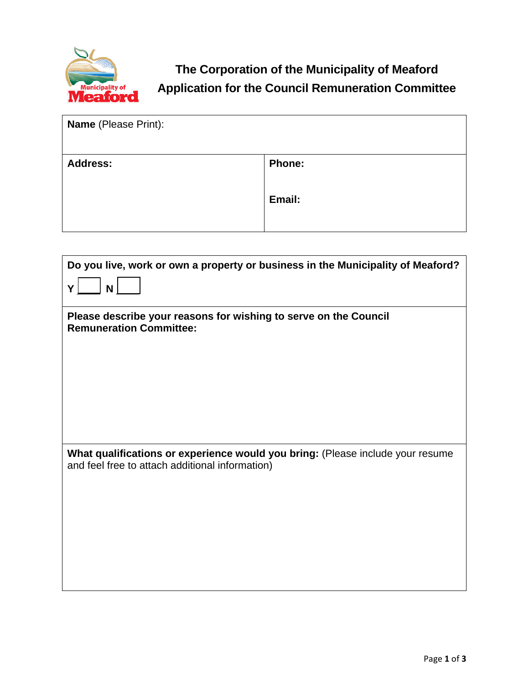

**The Corporation of the Municipality of Meaford Application for the Council Remuneration Committee**

| <b>Name</b> (Please Print): |               |
|-----------------------------|---------------|
| <b>Address:</b>             | <b>Phone:</b> |
|                             | Email:        |
|                             |               |

| Do you live, work or own a property or business in the Municipality of Meaford?                                                   |  |  |
|-----------------------------------------------------------------------------------------------------------------------------------|--|--|
| $\mathsf{N}$<br>Y                                                                                                                 |  |  |
| Please describe your reasons for wishing to serve on the Council<br><b>Remuneration Committee:</b>                                |  |  |
|                                                                                                                                   |  |  |
|                                                                                                                                   |  |  |
|                                                                                                                                   |  |  |
| What qualifications or experience would you bring: (Please include your resume<br>and feel free to attach additional information) |  |  |
|                                                                                                                                   |  |  |
|                                                                                                                                   |  |  |
|                                                                                                                                   |  |  |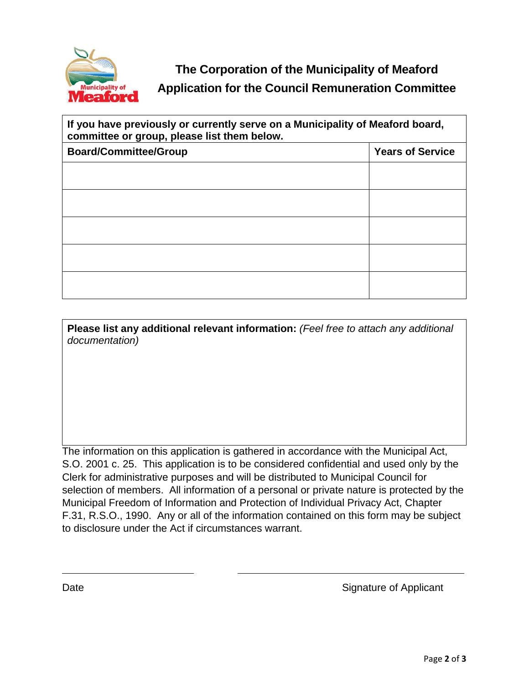

## **The Corporation of the Municipality of Meaford Application for the Council Remuneration Committee**

| If you have previously or currently serve on a Municipality of Meaford board,<br>committee or group, please list them below. |                         |  |
|------------------------------------------------------------------------------------------------------------------------------|-------------------------|--|
| <b>Board/Committee/Group</b>                                                                                                 | <b>Years of Service</b> |  |
|                                                                                                                              |                         |  |
|                                                                                                                              |                         |  |
|                                                                                                                              |                         |  |
|                                                                                                                              |                         |  |
|                                                                                                                              |                         |  |

**Please list any additional relevant information:** *(Feel free to attach any additional documentation)*

The information on this application is gathered in accordance with the Municipal Act, S.O. 2001 c. 25. This application is to be considered confidential and used only by the Clerk for administrative purposes and will be distributed to Municipal Council for selection of members. All information of a personal or private nature is protected by the Municipal Freedom of Information and Protection of Individual Privacy Act, Chapter F.31, R.S.O., 1990. Any or all of the information contained on this form may be subject to disclosure under the Act if circumstances warrant.

Date **Signature of Applicant**